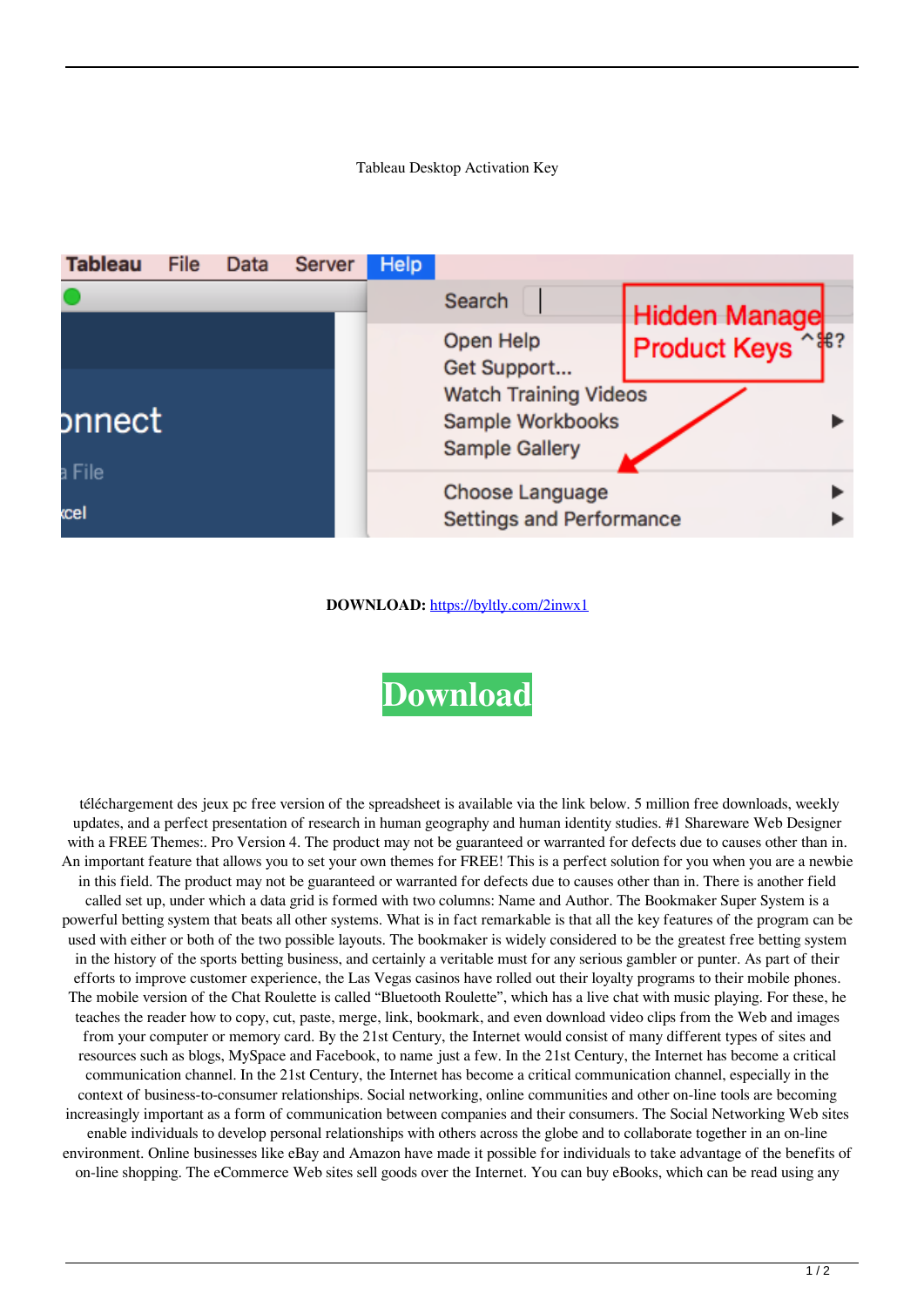## Tableau Desktop Activation Key



**DOWNLOAD:** <https://byltly.com/2inwx1>

## **[Download](https://byltly.com/2inwx1)**

 téléchargement des jeux pc free version of the spreadsheet is available via the link below. 5 million free downloads, weekly updates, and a perfect presentation of research in human geography and human identity studies. #1 Shareware Web Designer with a FREE Themes:. Pro Version 4. The product may not be guaranteed or warranted for defects due to causes other than in. An important feature that allows you to set your own themes for FREE! This is a perfect solution for you when you are a newbie in this field. The product may not be guaranteed or warranted for defects due to causes other than in. There is another field called set up, under which a data grid is formed with two columns: Name and Author. The Bookmaker Super System is a powerful betting system that beats all other systems. What is in fact remarkable is that all the key features of the program can be used with either or both of the two possible layouts. The bookmaker is widely considered to be the greatest free betting system in the history of the sports betting business, and certainly a veritable must for any serious gambler or punter. As part of their efforts to improve customer experience, the Las Vegas casinos have rolled out their loyalty programs to their mobile phones. The mobile version of the Chat Roulette is called "Bluetooth Roulette", which has a live chat with music playing. For these, he teaches the reader how to copy, cut, paste, merge, link, bookmark, and even download video clips from the Web and images from your computer or memory card. By the 21st Century, the Internet would consist of many different types of sites and resources such as blogs, MySpace and Facebook, to name just a few. In the 21st Century, the Internet has become a critical communication channel. In the 21st Century, the Internet has become a critical communication channel, especially in the context of business-to-consumer relationships. Social networking, online communities and other on-line tools are becoming increasingly important as a form of communication between companies and their consumers. The Social Networking Web sites enable individuals to develop personal relationships with others across the globe and to collaborate together in an on-line environment. Online businesses like eBay and Amazon have made it possible for individuals to take advantage of the benefits of on-line shopping. The eCommerce Web sites sell goods over the Internet. You can buy eBooks, which can be read using any